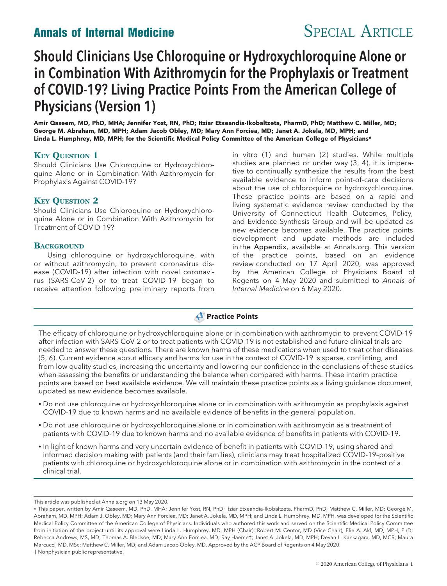# Annals of Internal Medicine SPECIAL ARTICLE

# Should Clinicians Use Chloroquine or Hydroxychloroquine Alone or in Combination With Azithromycin for the Prophylaxis or Treatment of COVID-19? Living Practice Points From the American College of Physicians (Version 1)

Amir Qaseem, MD, PhD, MHA; Jennifer Yost, RN, PhD; Itziar Etxeandia-Ikobaltzeta, PharmD, PhD; Matthew C. Miller, MD; George M. Abraham, MD, MPH; Adam Jacob Obley, MD; Mary Ann Forciea, MD; Janet A. Jokela, MD, MPH; and Linda L. Humphrey, MD, MPH; for the Scientific Medical Policy Committee of the American College of Physicians\*

# **KEY QUESTION 1**

Should Clinicians Use Chloroquine or Hydroxychloroquine Alone or in Combination With Azithromycin for Prophylaxis Against COVID-19?

## **KEY QUESTION 2**

Should Clinicians Use Chloroquine or Hydroxychloroquine Alone or in Combination With Azithromycin for Treatment of COVID-19?

### **BACKGROUND**

Using chloroquine or hydroxychloroquine, with or without azithromycin, to prevent coronavirus disease (COVID-19) after infection with novel coronavirus (SARS-CoV-2) or to treat COVID-19 began to receive attention following preliminary reports from

in vitro (1) and human (2) studies. While multiple studies are planned or under way (3, 4), it is imperative to continually synthesize the results from the best available evidence to inform point-of-care decisions about the use of chloroquine or hydroxychloroquine. These practice points are based on a rapid and living systematic evidence review conducted by the University of Connecticut Health Outcomes, Policy, and Evidence Synthesis Group and will be updated as new evidence becomes available. The practice points development and update methods are included in the Appendix, available at Annals.org. This version of the practice points, based on an evidence review conducted on 17 April 2020, was approved by the American College of Physicians Board of Regents on 4 May 2020 and submitted to Annals of Internal Medicine on 6 May 2020.

# **Practice Points**

The efficacy of chloroquine or hydroxychloroquine alone or in combination with azithromycin to prevent COVID-19 after infection with SARS-CoV-2 or to treat patients with COVID-19 is not established and future clinical trials are needed to answer these questions. There are known harms of these medications when used to treat other diseases (5, 6). Current evidence about efficacy and harms for use in the context of COVID-19 is sparse, conflicting, and from low quality studies, increasing the uncertainty and lowering our confidence in the conclusions of these studies when assessing the benefits or understanding the balance when compared with harms. These interim practice points are based on best available evidence. We will maintain these practice points as a living guidance document, updated as new evidence becomes available.

- Do not use chloroquine or hydroxychloroquine alone or in combination with azithromycin as prophylaxis against COVID-19 due to known harms and no available evidence of benefits in the general population.
- Do not use chloroquine or hydroxychloroquine alone or in combination with azithromycin as a treatment of patients with COVID-19 due to known harms and no available evidence of benefits in patients with COVID-19.
- In light of known harms and very uncertain evidence of benefit in patients with COVID-19, using shared and informed decision making with patients (and their families), clinicians may treat hospitalized COVID-19–positive patients with chloroquine or hydroxychloroquine alone or in combination with azithromycin in the context of a clinical trial.

This article was published at Annals.org on 13 May 2020.

p This paper, written by Amir Qaseem, MD, PhD, MHA; Jennifer Yost, RN, PhD; Itziar Etxeandia-Ikobaltzeta, PharmD, PhD; Matthew C. Miller, MD; George M. Abraham, MD, MPH; Adam J. Obley, MD; Mary Ann Forciea, MD; Janet A. Jokela, MD, MPH; and Linda L. Humphrey, MD, MPH, was developed for the Scientific Medical Policy Committee of the American College of Physicians. Individuals who authored this work and served on the Scientific Medical Policy Committee from initiation of the project until its approval were Linda L. Humphrey, MD, MPH (Chair); Robert M. Centor, MD (Vice Chair); Elie A. Akl, MD, MPH, PhD; Rebecca Andrews, MS, MD; Thomas A. Bledsoe, MD; Mary Ann Forciea, MD; Ray Haeme†; Janet A. Jokela, MD, MPH; Devan L. Kansagara, MD, MCR; Maura Marcucci, MD, MSc; Matthew C. Miller, MD; and Adam Jacob Obley, MD. Approved by the ACP Board of Regents on 4 May 2020. † Nonphysician public representative.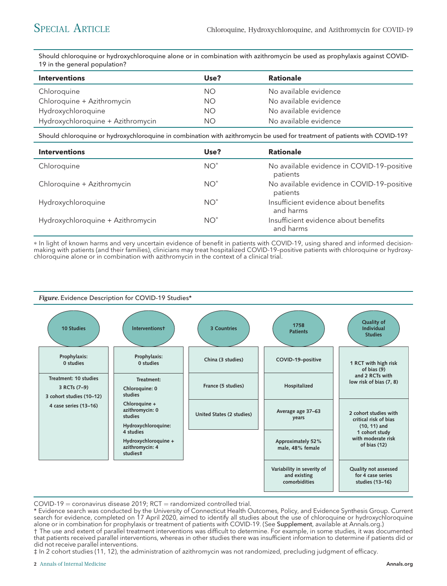Should chloroquine or hydroxychloroquine alone or in combination with azithromycin be used as prophylaxis against COVID-19 in the general population?

| <b>Interventions</b>              | Use?      | <b>Rationale</b>      |
|-----------------------------------|-----------|-----------------------|
| Chloroquine                       | <b>NO</b> | No available evidence |
| Chloroquine + Azithromycin        | ΝO        | No available evidence |
| Hydroxychloroquine                | <b>NO</b> | No available evidence |
| Hydroxychloroquine + Azithromycin | ΝO        | No available evidence |

Should chloroquine or hydroxychloroquine in combination with azithromycin be used for treatment of patients with COVID-19?

| <b>Interventions</b>              | Use?   | <b>Rationale</b>                                       |
|-----------------------------------|--------|--------------------------------------------------------|
| Chloroquine                       | $NO^*$ | No available evidence in COVID-19-positive<br>patients |
| Chloroquine + Azithromycin        | $NO^*$ | No available evidence in COVID-19-positive<br>patients |
| Hydroxychloroquine                | $NO^*$ | Insufficient evidence about benefits<br>and harms      |
| Hydroxychloroquine + Azithromycin | $NO^*$ | Insufficient evidence about benefits<br>and harms      |

\* In light of known harms and very uncertain evidence of benefit in patients with COVID-19, using shared and informed decisionmaking with patients (and their families), clinicians may treat hospitalized COVID-19–positive patients with chloroquine or hydroxychloroquine alone or in combination with azithromycin in the context of a clinical trial.



 $COVID-19 =$  coronavirus disease 2019; RCT = randomized controlled trial.

<sup>\*</sup> Evidence search was conducted by the University of Connecticut Health Outcomes, Policy, and Evidence Synthesis Group. Current search for evidence, completed on 17 April 2020, aimed to identify all studies about the use of chloroquine or hydroxychloroquine alone or in combination for prophylaxis or treatment of patients with COVID-19. (See Supplement, available at Annals.org.) † The use and extent of parallel treatment interventions was difficult to determine. For example, in some studies, it was documented

that patients received parallel interventions, whereas in other studies there was insufficient information to determine if patients did or did not receive parallel interventions.

<sup>‡</sup> In 2 cohort studies (11, 12), the administration of azithromycin was not randomized, precluding judgment of efficacy.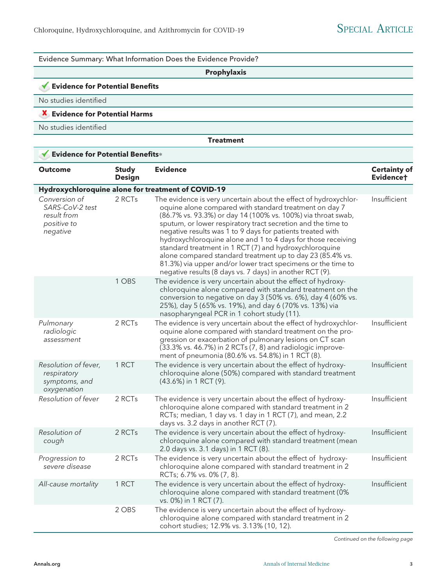Evidence Summary: What Information Does the Evidence Provide? Prophylaxis Evidence for Potential Benefits No studies identified **X** Evidence for Potential Harms No studies identified **Treatment** Evidence for Potential Benefits\* Outcome Study Design Evidence Certainty of Evidence† Hydroxychloroquine alone for treatment of COVID-19 Conversion of SARS-CoV-2 test result from positive to negative 2 RCTs The evidence is very uncertain about the effect of hydroxychloroquine alone compared with standard treatment on day 7 (86.7% vs. 93.3%) or day 14 (100% vs. 100%) via throat swab, sputum, or lower respiratory tract secretion and the time to negative results was 1 to 9 days for patients treated with hydroxychloroquine alone and 1 to 4 days for those receiving standard treatment in 1 RCT (7) and hydroxychloroquine alone compared standard treatment up to day 23 (85.4% vs. 81.3%) via upper and/or lower tract specimens or the time to negative results (8 days vs. 7 days) in another RCT (9). Insufficient 1 OBS The evidence is very uncertain about the effect of hydroxychloroquine alone compared with standard treatment on the conversion to negative on day 3 (50% vs. 6%), day 4 (60% vs. 25%), day 5 (65% vs. 19%), and day 6 (70% vs. 13%) via nasopharyngeal PCR in 1 cohort study (11). Pulmonary radiologic assessment 2 RCTs The evidence is very uncertain about the effect of hydroxychloroquine alone compared with standard treatment on the progression or exacerbation of pulmonary lesions on CT scan (33.3% vs. 46.7%) in 2 RCTs (7, 8) and radiologic improvement of pneumonia (80.6% vs. 54.8%) in 1 RCT (8). Insufficient Resolution of fever, respiratory symptoms, and oxygenation 1 RCT The evidence is very uncertain about the effect of hydroxychloroquine alone (50%) compared with standard treatment (43.6%) in 1 RCT (9). Insufficient Resolution of fever 2 RCTs The evidence is very uncertain about the effect of hydroxychloroquine alone compared with standard treatment in 2 RCTs; median, 1 day vs. 1 day in 1 RCT (7), and mean, 2.2 days vs. 3.2 days in another RCT (7). Insufficient Resolution of cough 2 RCTs The evidence is very uncertain about the effect of hydroxychloroquine alone compared with standard treatment (mean 2.0 days vs. 3.1 days) in 1 RCT (8). Insufficient Progression to severe disease 2 RCTs The evidence is very uncertain about the effect of hydroxychloroquine alone compared with standard treatment in 2 RCTs; 6.7% vs. 0% (7, 8). Insufficient All-cause mortality 1 RCT The evidence is very uncertain about the effect of hydroxychloroquine alone compared with standard treatment (0% vs. 0%) in 1 RCT (7). Insufficient 2 OBS The evidence is very uncertain about the effect of hydroxychloroquine alone compared with standard treatment in 2 cohort studies; 12.9% vs. 3.13% (10, 12).

Continued on the following page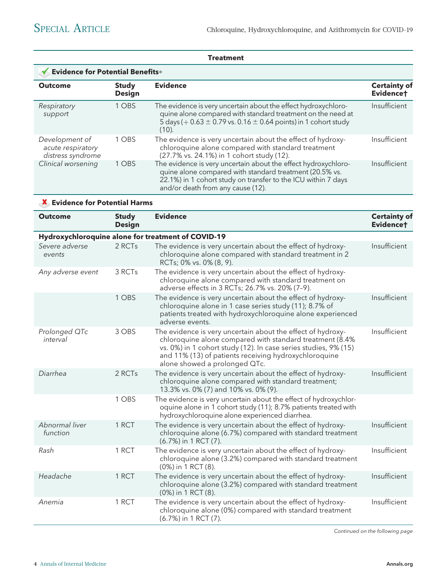|                                                          |                               | Treatment                                                                                                                                                                                                                       |                                  |  |
|----------------------------------------------------------|-------------------------------|---------------------------------------------------------------------------------------------------------------------------------------------------------------------------------------------------------------------------------|----------------------------------|--|
| Evidence for Potential Benefits*                         |                               |                                                                                                                                                                                                                                 |                                  |  |
| <b>Outcome</b>                                           | <b>Study</b><br><b>Design</b> | <b>Evidence</b>                                                                                                                                                                                                                 | <b>Certainty of</b><br>Evidencet |  |
| Respiratory<br>support                                   | 1 OBS                         | The evidence is very uncertain about the effect hydroxychloro-<br>quine alone compared with standard treatment on the need at<br>5 days ( $+$ 0.63 $\pm$ 0.79 vs. 0.16 $\pm$ 0.64 points) in 1 cohort study<br>(10).            | Insufficient                     |  |
| Development of<br>acute respiratory<br>distress syndrome | 1 OBS                         | The evidence is very uncertain about the effect of hydroxy-<br>chloroquine alone compared with standard treatment<br>(27.7% vs. 24.1%) in 1 cohort study (12).                                                                  | Insufficient                     |  |
| Clinical worsening                                       | 1 OBS                         | The evidence is very uncertain about the effect hydroxychloro-<br>quine alone compared with standard treatment (20.5% vs.<br>22.1%) in 1 cohort study on transfer to the ICU within 7 days<br>and/or death from any cause (12). | Insufficient                     |  |
|                                                          |                               |                                                                                                                                                                                                                                 |                                  |  |

# X Evidence for Potential Harms

| <b>Outcome</b>             | <b>Study</b><br><b>Design</b>                      | <b>Evidence</b>                                                                                                                                                                                                                                                                      | <b>Certainty of</b><br>Evidencet |  |  |  |
|----------------------------|----------------------------------------------------|--------------------------------------------------------------------------------------------------------------------------------------------------------------------------------------------------------------------------------------------------------------------------------------|----------------------------------|--|--|--|
|                            | Hydroxychloroquine alone for treatment of COVID-19 |                                                                                                                                                                                                                                                                                      |                                  |  |  |  |
| Severe adverse<br>events   | 2 RCTs                                             | The evidence is very uncertain about the effect of hydroxy-<br>chloroquine alone compared with standard treatment in 2<br>RCTs; 0% vs. 0% (8, 9).                                                                                                                                    | Insufficient                     |  |  |  |
| Any adverse event          | 3 RCTs                                             | The evidence is very uncertain about the effect of hydroxy-<br>chloroquine alone compared with standard treatment on<br>adverse effects in 3 RCTs; 26.7% vs. 20% (7-9).                                                                                                              |                                  |  |  |  |
|                            | 1 OBS                                              | The evidence is very uncertain about the effect of hydroxy-<br>chloroquine alone in 1 case series study (11); 8.7% of<br>patients treated with hydroxychloroquine alone experienced<br>adverse events.                                                                               | Insufficient                     |  |  |  |
| Prolonged QTc<br>interval  | 3 OBS                                              | The evidence is very uncertain about the effect of hydroxy-<br>chloroquine alone compared with standard treatment (8.4%<br>vs. 0%) in 1 cohort study (12). In case series studies, 9% (15)<br>and 11% (13) of patients receiving hydroxychloroquine<br>alone showed a prolonged QTc. | Insufficient                     |  |  |  |
| Diarrhea                   | 2 RCTs                                             | The evidence is very uncertain about the effect of hydroxy-<br>chloroquine alone compared with standard treatment;<br>13.3% vs. 0% (7) and 10% vs. 0% (9).                                                                                                                           | Insufficient                     |  |  |  |
|                            | 1 OBS                                              | The evidence is very uncertain about the effect of hydroxychlor-<br>oquine alone in 1 cohort study (11); 8.7% patients treated with<br>hydroxychloroquine alone experienced diarrhea.                                                                                                |                                  |  |  |  |
| Abnormal liver<br>function | 1 RCT                                              | The evidence is very uncertain about the effect of hydroxy-<br>chloroquine alone (6.7%) compared with standard treatment<br>(6.7%) in 1 RCT (7).                                                                                                                                     | Insufficient                     |  |  |  |
| Rash                       | 1 RCT                                              | The evidence is very uncertain about the effect of hydroxy-<br>chloroquine alone (3.2%) compared with standard treatment<br>(0%) in 1 RCT (8).                                                                                                                                       | Insufficient                     |  |  |  |
| Headache                   | 1 RCT                                              | The evidence is very uncertain about the effect of hydroxy-<br>chloroquine alone (3.2%) compared with standard treatment<br>(0%) in 1 RCT (8).                                                                                                                                       | Insufficient                     |  |  |  |
| Anemia                     | 1 RCT                                              | The evidence is very uncertain about the effect of hydroxy-<br>chloroquine alone (0%) compared with standard treatment<br>(6.7%) in 1 RCT (7).                                                                                                                                       | Insufficient                     |  |  |  |

Continued on the following page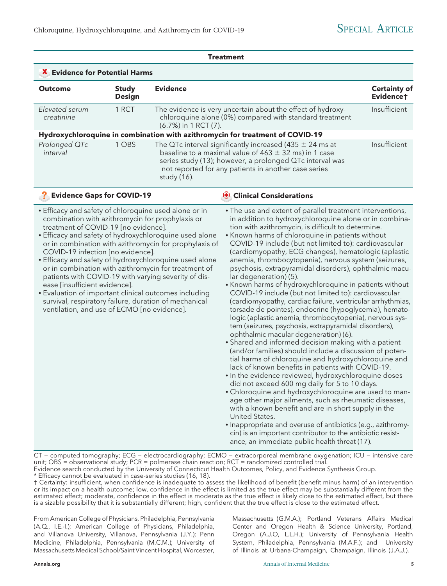|                                                                                                                                                                                                                                                                                                                                                                                                                                                                                                                                                                                                                                                                                                                             |                               |                                                                                                                                                                                                                                                                                                                                                                                                                                                                                                                                                                                                                                                                                                                                                                                                                                                                                                                                                                                                                                                                                                                                                                                                                                                                                                                                                                                                                                                                                                                                                                                                                       | <b>Treatment</b>                                                                                                                                                                                                                              |                                  |  |
|-----------------------------------------------------------------------------------------------------------------------------------------------------------------------------------------------------------------------------------------------------------------------------------------------------------------------------------------------------------------------------------------------------------------------------------------------------------------------------------------------------------------------------------------------------------------------------------------------------------------------------------------------------------------------------------------------------------------------------|-------------------------------|-----------------------------------------------------------------------------------------------------------------------------------------------------------------------------------------------------------------------------------------------------------------------------------------------------------------------------------------------------------------------------------------------------------------------------------------------------------------------------------------------------------------------------------------------------------------------------------------------------------------------------------------------------------------------------------------------------------------------------------------------------------------------------------------------------------------------------------------------------------------------------------------------------------------------------------------------------------------------------------------------------------------------------------------------------------------------------------------------------------------------------------------------------------------------------------------------------------------------------------------------------------------------------------------------------------------------------------------------------------------------------------------------------------------------------------------------------------------------------------------------------------------------------------------------------------------------------------------------------------------------|-----------------------------------------------------------------------------------------------------------------------------------------------------------------------------------------------------------------------------------------------|----------------------------------|--|
| X Evidence for Potential Harms                                                                                                                                                                                                                                                                                                                                                                                                                                                                                                                                                                                                                                                                                              |                               |                                                                                                                                                                                                                                                                                                                                                                                                                                                                                                                                                                                                                                                                                                                                                                                                                                                                                                                                                                                                                                                                                                                                                                                                                                                                                                                                                                                                                                                                                                                                                                                                                       |                                                                                                                                                                                                                                               |                                  |  |
| <b>Outcome</b>                                                                                                                                                                                                                                                                                                                                                                                                                                                                                                                                                                                                                                                                                                              | <b>Study</b><br><b>Design</b> | <b>Evidence</b>                                                                                                                                                                                                                                                                                                                                                                                                                                                                                                                                                                                                                                                                                                                                                                                                                                                                                                                                                                                                                                                                                                                                                                                                                                                                                                                                                                                                                                                                                                                                                                                                       |                                                                                                                                                                                                                                               | <b>Certainty of</b><br>Evidence† |  |
| Elevated serum<br>creatinine                                                                                                                                                                                                                                                                                                                                                                                                                                                                                                                                                                                                                                                                                                | 1 RCT                         | (6.7%) in 1 RCT (7).                                                                                                                                                                                                                                                                                                                                                                                                                                                                                                                                                                                                                                                                                                                                                                                                                                                                                                                                                                                                                                                                                                                                                                                                                                                                                                                                                                                                                                                                                                                                                                                                  | The evidence is very uncertain about the effect of hydroxy-<br>chloroquine alone (0%) compared with standard treatment                                                                                                                        | Insufficient                     |  |
|                                                                                                                                                                                                                                                                                                                                                                                                                                                                                                                                                                                                                                                                                                                             |                               |                                                                                                                                                                                                                                                                                                                                                                                                                                                                                                                                                                                                                                                                                                                                                                                                                                                                                                                                                                                                                                                                                                                                                                                                                                                                                                                                                                                                                                                                                                                                                                                                                       | Hydroxychloroquine in combination with azithromycin for treatment of COVID-19                                                                                                                                                                 |                                  |  |
| Prolonged QTc<br>interval                                                                                                                                                                                                                                                                                                                                                                                                                                                                                                                                                                                                                                                                                                   | 1 OBS                         | study (16).                                                                                                                                                                                                                                                                                                                                                                                                                                                                                                                                                                                                                                                                                                                                                                                                                                                                                                                                                                                                                                                                                                                                                                                                                                                                                                                                                                                                                                                                                                                                                                                                           | The QTc interval significantly increased (435 $\pm$ 24 ms at<br>baseline to a maximal value of $463 \pm 32$ ms) in 1 case<br>series study (13); however, a prolonged QTc interval was<br>not reported for any patients in another case series | Insufficient                     |  |
| 3                                                                                                                                                                                                                                                                                                                                                                                                                                                                                                                                                                                                                                                                                                                           |                               |                                                                                                                                                                                                                                                                                                                                                                                                                                                                                                                                                                                                                                                                                                                                                                                                                                                                                                                                                                                                                                                                                                                                                                                                                                                                                                                                                                                                                                                                                                                                                                                                                       | <b>(B)</b> Clinical Considerations                                                                                                                                                                                                            |                                  |  |
| <b>Evidence Gaps for COVID-19</b><br>• Efficacy and safety of chloroquine used alone or in<br>combination with azithromycin for prophylaxis or<br>treatment of COVID-19 [no evidence].<br>• Efficacy and safety of hydroxychloroquine used alone<br>or in combination with azithromycin for prophylaxis of<br>COVID-19 infection [no evidence].<br>• Efficacy and safety of hydroxychloroquine used alone<br>or in combination with azithromycin for treatment of<br>patients with COVID-19 with varying severity of dis-<br>ease [insufficient evidence].<br>• Evaluation of important clinical outcomes including<br>survival, respiratory failure, duration of mechanical<br>ventilation, and use of ECMO [no evidence]. |                               | . The use and extent of parallel treatment interventions,<br>in addition to hydroxychloroquine alone or in combina-<br>tion with azithromycin, is difficult to determine.<br>• Known harms of chloroquine in patients without<br>COVID-19 include (but not limited to): cardiovascular<br>(cardiomyopathy, ECG changes), hematologic (aplastic<br>anemia, thrombocytopenia), nervous system (seizures,<br>psychosis, extrapyramidal disorders), ophthalmic macu-<br>lar degeneration) (5).<br>• Known harms of hydroxychloroquine in patients without<br>COVID-19 include (but not limited to): cardiovascular<br>(cardiomyopathy, cardiac failure, ventricular arrhythmias,<br>torsade de pointes), endocrine (hypoglycemia), hemato-<br>logic (aplastic anemia, thrombocytopenia), nervous sys-<br>tem (seizures, psychosis, extrapyramidal disorders),<br>ophthalmic macular degeneration) (6).<br>• Shared and informed decision making with a patient<br>(and/or families) should include a discussion of poten-<br>tial harms of chloroquine and hydroxychloroquine and<br>lack of known benefits in patients with COVID-19.<br>. In the evidence reviewed, hydroxychloroquine doses<br>did not exceed 600 mg daily for 5 to 10 days.<br>• Chloroquine and hydroxychloroquine are used to man-<br>age other major ailments, such as rheumatic diseases,<br>with a known benefit and are in short supply in the<br>United States.<br>• Inappropriate and overuse of antibiotics (e.g., azithromy-<br>cin) is an important contributor to the antibiotic resist-<br>ance, an immediate public health threat (17). |                                                                                                                                                                                                                                               |                                  |  |

CT = computed tomography; ECG = electrocardiography; ECMO = extracorporeal membrane oxygenation; ICU = intensive care unit; OBS = observational study; PCR = polmerase chain reaction; RCT = randomized controlled trial. Evidence search conducted by the University of Connecticut Health Outcomes, Policy, and Evidence Synthesis Group.

\* Efficacy cannot be evaluated in case-series studies (16, 18).

† Certainty: insufficient, when confidence is inadequate to assess the likelihood of benefit (benefit minus harm) of an intervention or its impact on a health outcome; low, confidence in the effect is limited as the true effect may be substantially different from the estimated effect; moderate, confidence in the effect is moderate as the true effect is likely close to the estimated effect, but there is a sizable possibility that it is substantially different; high, confident that the true effect is close to the estimated effect.

From American College of Physicians, Philadelphia, Pennsylvania (A.Q., I.E.-I.); American College of Physicians, Philadelphia, and Villanova University, Villanova, Pennsylvania (J.Y.); Penn Medicine, Philadelphia, Pennsylvania (M.C.M.); University of Massachusetts Medical School/Saint Vincent Hospital,Worcester, Massachusetts (G.M.A.); Portland Veterans Affairs Medical Center and Oregon Health & Science University, Portland, Oregon (A.J.O, L.L.H.); University of Pennsylvania Health System, Philadelphia, Pennsylvania (M.A.F.); and University of Illinois at Urbana-Champaign, Champaign, Illinois (J.A.J.).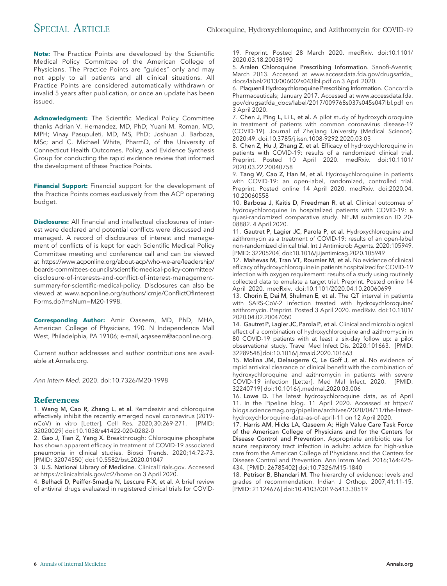Note: The Practice Points are developed by the Scientific Medical Policy Committee of the American College of Physicians. The Practice Points are "guides" only and may not apply to all patients and all clinical situations. All Practice Points are considered automatically withdrawn or invalid 5 years after publication, or once an update has been issued.

Acknowledgment: The Scientific Medical Policy Committee thanks Adrian V. Hernandez, MD, PhD; Yuani M. Roman, MD, MPH; Vinay Pasupuleti, MD, MS, PhD; Joshuan J. Barboza, MSc; and C. Michael White, PharmD, of the University of Connecticut Health Outcomes, Policy, and Evidence Synthesis Group for conducting the rapid evidence review that informed the development of these Practice Points.

Financial Support: Financial support for the development of the Practice Points comes exclusively from the ACP operating budget.

**Disclosures:** All financial and intellectual disclosures of interest were declared and potential conflicts were discussed and managed. A record of disclosures of interest and management of conflicts of is kept for each Scientific Medical Policy Committee meeting and conference call and can be viewed at https://www.acponline.org/about-acp/who-we-are/leadership/ boards-committees-councils/scientific-medical-policy-committee/ disclosure-of-interests-and-conflict-of-interest-managementsummary-for-scientific-medical-policy. Disclosures can also be viewed at www.acponline.org/authors/icmje/ConflictOfInterest Forms.do?msNum=M20-1998.

Corresponding Author: Amir Qaseem, MD, PhD, MHA, American College of Physicians, 190. N Independence Mall West, Philadelphia, PA 19106; e-mail, aqaseem@acponline.org.

Current author addresses and author contributions are available at Annals.org.

Ann Intern Med. 2020. doi:10.7326/M20-1998

#### References

1. Wang M, Cao R, Zhang L, et al. Remdesivir and chloroquine effectively inhibit the recently emerged novel coronavirus (2019 nCoV) in vitro [Letter]. Cell Res. 2020;30:269-271. [PMID: 32020029] doi:10.1038/s41422-020-0282-0

2. Gao J, Tian Z, Yang X. Breakthrough: Chloroquine phosphate has shown apparent efficacy in treatment of COVID-19 associated pneumonia in clinical studies. Biosci Trends. 2020;14:72-73. [PMID: 32074550] doi:10.5582/bst.2020.01047

3. U.S. National Library of Medicine. ClinicalTrials.gov. Accessed at https://clinicaltrials.gov/ct2/home on 3 April 2020.

4. Belhadi D, Peiffer-Smadja N, Lescure F-X, et al. A brief review of antiviral drugs evaluated in registered clinical trials for COVID- 19. Preprint. Posted 28 March 2020. medRxiv. doi:10.1101/ 2020.03.18.20038190

5. Aralen Chloroquine Prescribing Information. Sanofi-Aventis; March 2013. Accessed at www.accessdata.fda.gov/drugsatfda\_ docs/label/2013/006002s043lbl.pdf on 3 April 2020.

6. Plaquenil Hydroxychloroquine Prescribing Information. Concordia Pharmaceuticals; January 2017. Accessed at www.accessdata.fda. gov/drugsatfda\_docs/label/2017/009768s037s045s047lbl.pdf on 3 April 2020.

7. Chen J, Ping L, Li L, et al. A pilot study of hydroxychloroquine in treatment of patients with common coronavirus disease-19 (COVID-19). Journal of Zhejiang University (Medical Science). 2020;49. doi:10.3785/j.issn.1008-9292.2020.03.03

8. Chen Z, Hu J, Zhang Z, et al. Efficacy of hydroxychloroquine in patients with COVID-19: results of a randomized clinical trial. Preprint. Posted 10 April 2020. medRxiv. doi:10.1101/ 2020.03.22.20040758

9. Tang W, Cao Z, Han M, et al. Hydroxychloroquine in patients with COVID-19: an open-label, randomized, controlled trial. Preprint. Posted online 14 April 2020. medRxiv. doi:2020.04. 10.20060558

10. Barbosa J, Kaitis D, Freedman R, et al. Clinical outcomes of hydroxychloroquine in hospitalized patients with COVID-19: a quasi-randomized comparative study. NEJM submission ID 20- 08882. 4 April 2020.

11. Gautret P, Lagier JC, Parola P, et al. Hydroxychloroquine and azithromycin as a treatment of COVID-19: results of an open-label non-randomized clinical trial. Int J Antimicrob Agents. 2020:105949. [PMID: 32205204] doi:10.1016/j.ijantimicag.2020.105949

12. Mahevas M, Tran VT, Roumier M, et al. No evidence of clinical efficacy of hydroxychloroquine in patients hospitalized for COVID-19 infection with oxygen requirement: results of a study using routinely collected data to emulate a target trial. Preprint. Posted online 14 April 2020. medRxiv. doi:10.1101/2020.04.10.20060699

13. Chorin E, Dai M, Shulman E, et al. The QT interval in patients with SARS-CoV-2 infection treated with hydroxychloroquine/ azithromycin. Preprint. Posted 3 April 2020. medRxiv. doi:10.1101/ 2020.04.02.20047050

14. Gautret P, Lagier JC, Parola P, et al. Clinical and microbiological effect of a combination of hydroxychloroquine and azithromycin in 80 COVID-19 patients with at least a six-day follow up: a pilot observational study. Travel Med Infect Dis. 2020:101663. [PMID: 32289548]doi:10.1016/j.tmaid.2020.101663

15. Molina JM, Delaugerre C, Le Goff J, et al. No evidence of rapid antiviral clearance or clinical benefit with the combination of hydroxychloroquine and azithromycin in patients with severe COVID-19 infection [Letter]. Med Mal Infect. 2020. [PMID: 32240719] doi:10.1016/j.medmal.2020.03.006

16. Lowe D. The latest hydroxychloroquine data, as of April 11. In the Pipeline blog. 11 April 2020. Accessed at https:// blogs.sciencemag.org/pipeline/archives/2020/04/11/the-latesthydroxychloroquine-data-as-of-april-11 on 12 April 2020.

17. Harris AM, Hicks LA, Qaseem A; High Value Care Task Force of the American College of Physicians and for the Centers for Disease Control and Prevention. Appropriate antibiotic use for acute respiratory tract infection in adults: advice for high-value care from the American College of Physicians and the Centers for Disease Control and Prevention. Ann Intern Med. 2016;164:425- 434. [PMID: 26785402] doi:10.7326/M15-1840

18. Petrisor B, Bhandari M. The hierarchy of evidence: levels and grades of recommendation. Indian J Orthop. 2007;41:11-15. [PMID: 21124676] doi:10.4103/0019-5413.30519